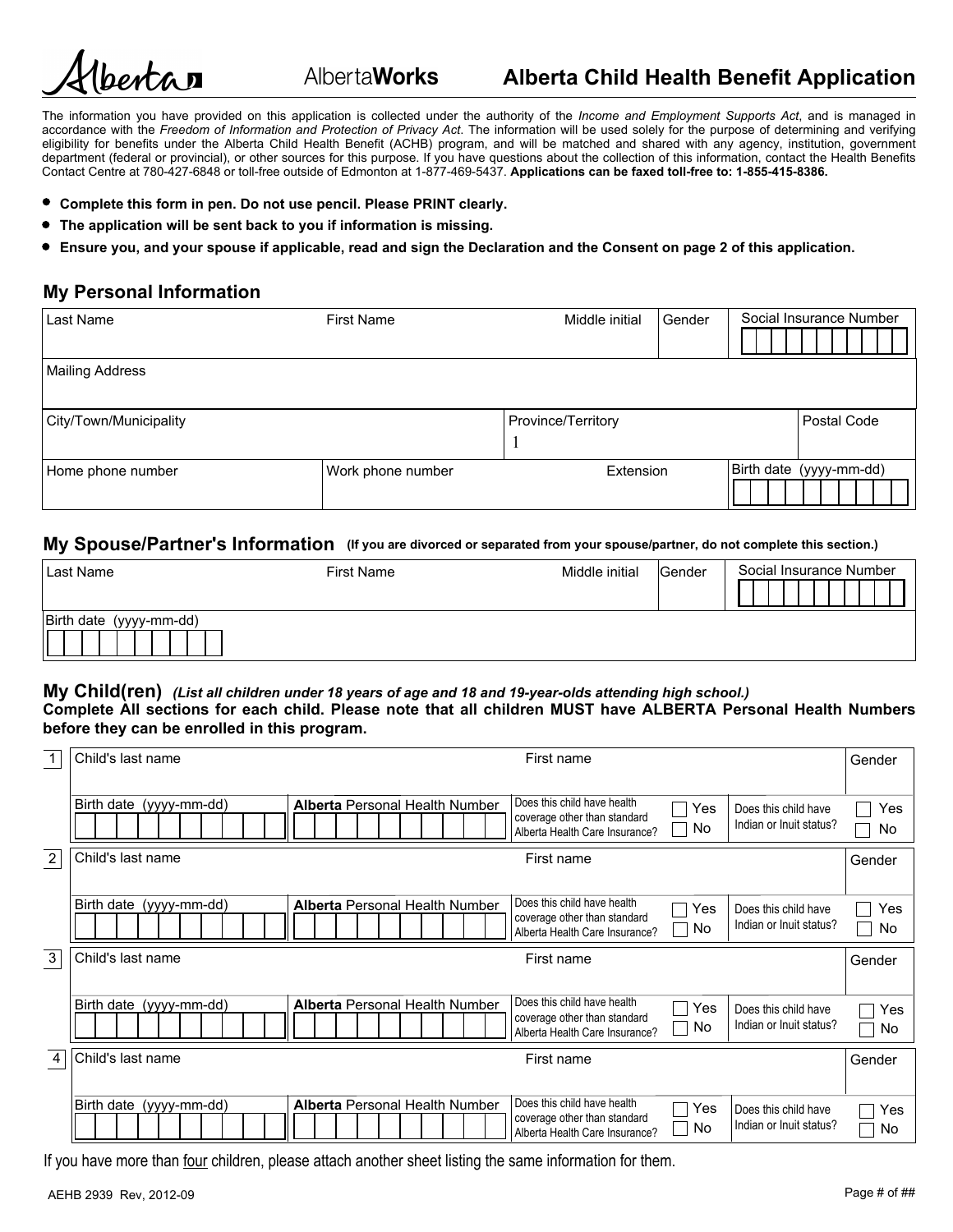

Alberta**Works** 

The information you have provided on this application is collected under the authority of the *Income and Employment Supports Act*, and is managed in accordance with the *Freedom of Information and Protection of Privacy Act*. The information will be used solely for the purpose of determining and verifying eligibility for benefits under the Alberta Child Health Benefit (ACHB) program, and will be matched and shared with any agency, institution, government department (federal or provincial), or other sources for this purpose. If you have questions about the collection of this information, contact the Health Benefits Contact Centre at 780-427-6848 or toll-free outside of Edmonton at 1-877-469-5437. **Applications can be faxed toll-free to: 1-855-415-8386.**

- **Complete this form in pen. Do not use pencil. Please PRINT clearly.**
- **The application will be sent back to you if information is missing.**
- **Ensure you, and your spouse if applicable, read and sign the Declaration and the Consent on page 2 of this application.**

## **My Personal Information**

| Last Name              | Social Insurance Number<br><b>First Name</b><br>Gender<br>Middle initial |                    |  |                         |  |
|------------------------|--------------------------------------------------------------------------|--------------------|--|-------------------------|--|
| Mailing Address        |                                                                          |                    |  |                         |  |
| City/Town/Municipality |                                                                          | Province/Territory |  | Postal Code             |  |
| Home phone number      | Work phone number                                                        | Extension          |  | Birth date (yyyy-mm-dd) |  |

#### **My Spouse/Partner's Information (If you are divorced or separated from your spouse/partner, do not complete this section.)**

| Last Name               | <b>First Name</b> | Middle initial | Gender | Social Insurance Number |
|-------------------------|-------------------|----------------|--------|-------------------------|
| Birth date (yyyy-mm-dd) |                   |                |        |                         |

#### **My Child(ren)** *(List all children under 18 years of age and 18 and 19-year-olds attending high school.)* **Complete All sections for each child. Please note that all children MUST have ALBERTA Personal Health Numbers before they can be enrolled in this program.**

| $\mathbf{1}$   | Child's last name       | First name                                                                                                                                                                                                    | Gender<br>$\blacktriangledown$ |
|----------------|-------------------------|---------------------------------------------------------------------------------------------------------------------------------------------------------------------------------------------------------------|--------------------------------|
|                | Birth date (yyyy-mm-dd) | Does this child have health<br><b>Alberta Personal Health Number</b><br>Yes<br>Does this child have<br>coverage other than standard<br>Indian or Inuit status?<br><b>No</b><br>Alberta Health Care Insurance? | Yes<br>No                      |
| $\overline{2}$ | Child's last name       | First name                                                                                                                                                                                                    | Gender                         |
|                | Birth date (yyyy-mm-dd) | Does this child have health<br><b>Alberta Personal Health Number</b><br>Does this child have<br>Yes<br>coverage other than standard<br>Indian or Inuit status?<br>No<br>Alberta Health Care Insurance?        | Yes<br>No                      |
| $\overline{3}$ | Child's last name       | First name                                                                                                                                                                                                    | Gender                         |
|                | Birth date (yyyy-mm-dd) | Does this child have health<br><b>Alberta Personal Health Number</b><br>Yes<br>Does this child have<br>coverage other than standard<br>Indian or Inuit status?<br>No.<br>Alberta Health Care Insurance?       | Yes<br>No                      |
| 4              | Child's last name       | First name                                                                                                                                                                                                    | Gender                         |
|                | Birth date (yyyy-mm-dd) | Does this child have health<br><b>Alberta Personal Health Number</b><br>Yes<br>Does this child have<br>coverage other than standard<br>Indian or Inuit status?<br><b>No</b><br>Alberta Health Care Insurance? | Yes<br>No                      |

If you have more than four children, please attach another sheet listing the same information for them.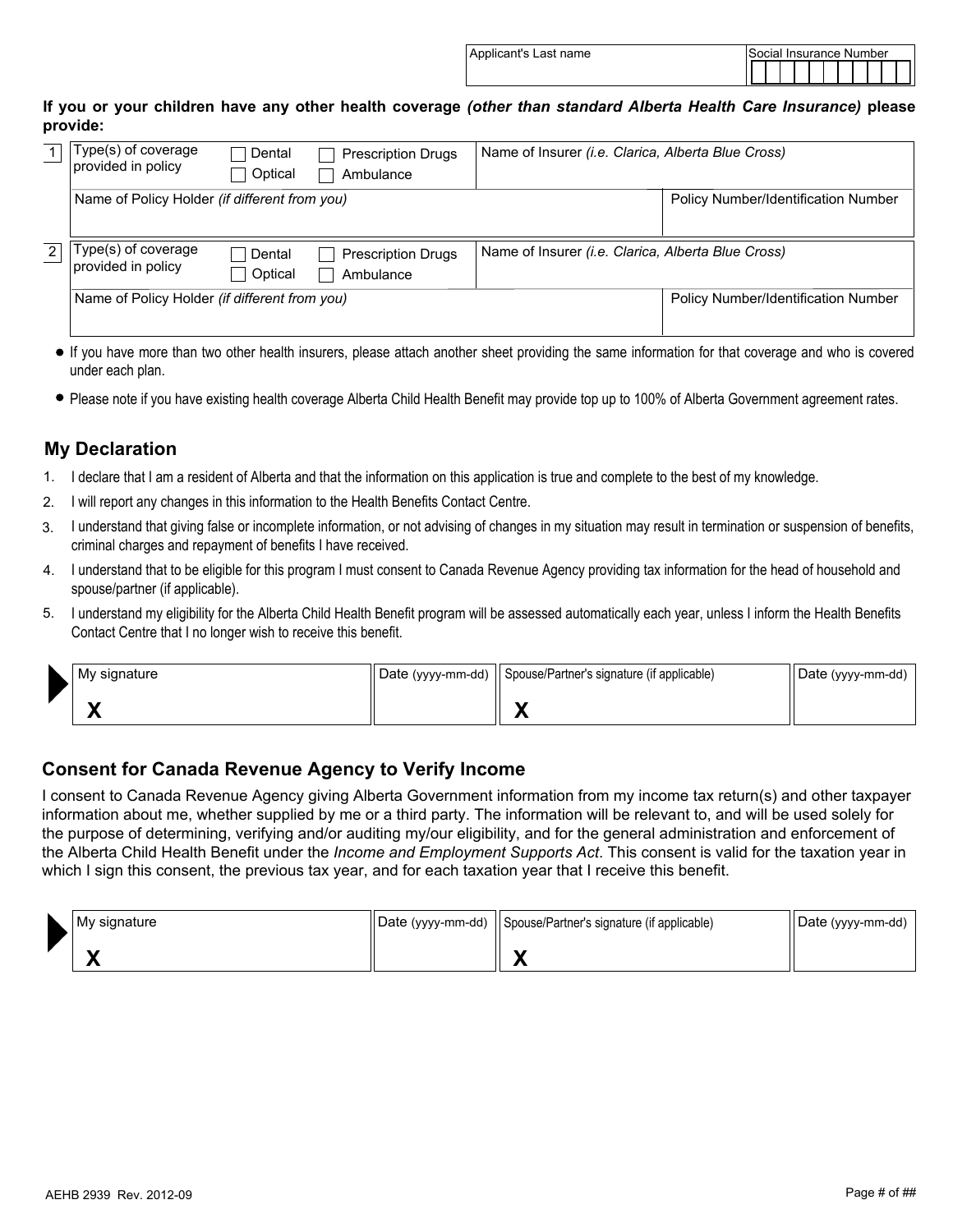| Applicant's Last name | Social Insurance Number |  |  |  |  |  |  |  |  |  |  |  |
|-----------------------|-------------------------|--|--|--|--|--|--|--|--|--|--|--|
|                       |                         |  |  |  |  |  |  |  |  |  |  |  |

### **If you or your children have any other health coverage** *(other than standard Alberta Health Care Insurance)* **please provide:**

|   | Type(s) of coverage<br>provided in policy            | Dental<br>Optical | <b>Prescription Drugs</b><br>Ambulance | Name of Insurer (i.e. Clarica, Alberta Blue Cross) |                                     |
|---|------------------------------------------------------|-------------------|----------------------------------------|----------------------------------------------------|-------------------------------------|
|   | Name of Policy Holder (if different from you)        |                   |                                        |                                                    | Policy Number/Identification Number |
| 2 | Type(s) of coverage<br>provided in policy            | Dental<br>Optical | <b>Prescription Drugs</b><br>Ambulance | Name of Insurer (i.e. Clarica, Alberta Blue Cross) |                                     |
|   | Name of Policy Holder <i>(if different from you)</i> |                   |                                        | <b>Policy Number/Identification Number</b>         |                                     |

- If you have more than two other health insurers, please attach another sheet providing the same information for that coverage and who is covered under each plan.
- Please note if you have existing health coverage Alberta Child Health Benefit may provide top up to 100% of Alberta Government agreement rates.

# **My Declaration**

- 1. I declare that I am a resident of Alberta and that the information on this application is true and complete to the best of my knowledge.
- I will report any changes in this information to the Health Benefits Contact Centre. 2.
- I understand that giving false or incomplete information, or not advising of changes in my situation may result in termination or suspension of benefits, criminal charges and repayment of benefits I have received. 3.
- I understand that to be eligible for this program I must consent to Canada Revenue Agency providing tax information for the head of household and spouse/partner (if applicable). 4.
- 5. I understand my eligibility for the Alberta Child Health Benefit program will be assessed automatically each year, unless I inform the Health Benefits Contact Centre that I no longer wish to receive this benefit.

| ◣ | ∣ My signature | Date (yyyy-mm-dd)    Spouse/Partner's signature (if applicable) | Date (yyyy-mm-dd) |
|---|----------------|-----------------------------------------------------------------|-------------------|
|   |                |                                                                 |                   |

## **Consent for Canada Revenue Agency to Verify Income**

I consent to Canada Revenue Agency giving Alberta Government information from my income tax return(s) and other taxpayer information about me, whether supplied by me or a third party. The information will be relevant to, and will be used solely for the purpose of determining, verifying and/or auditing my/our eligibility, and for the general administration and enforcement of the Alberta Child Health Benefit under the *Income and Employment Supports Act*. This consent is valid for the taxation year in which I sign this consent, the previous tax year, and for each taxation year that I receive this benefit.

| My signature | Date (yyyy-mm-dd)    Spouse/Partner's signature (if applicable) | Date (yyyy-mm-dd) |
|--------------|-----------------------------------------------------------------|-------------------|
|              |                                                                 |                   |